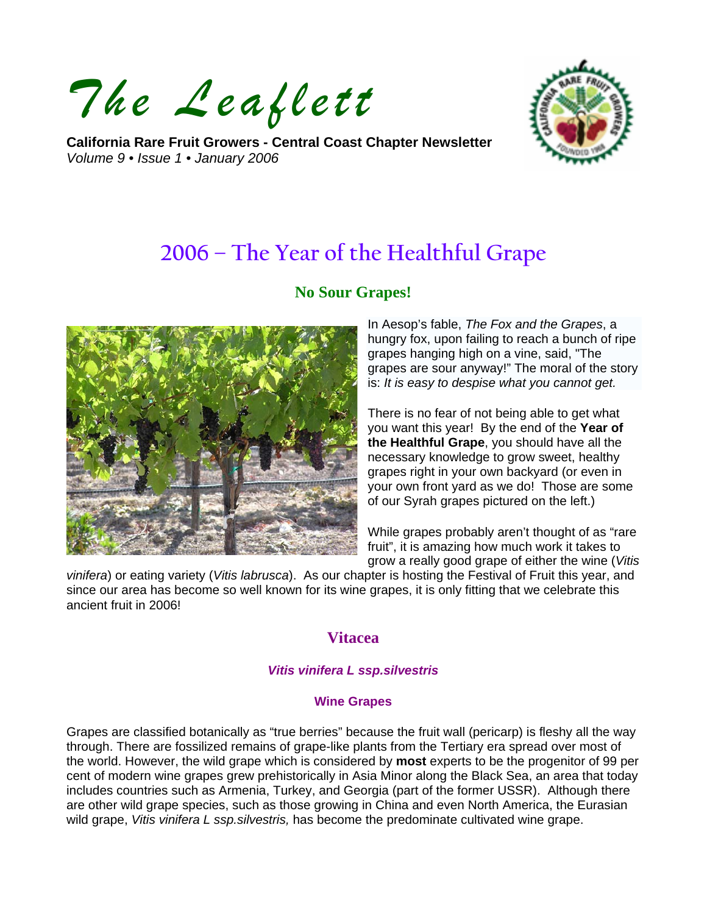*The Leaflett*

**California Rare Fruit Growers - Central Coast Chapter Newsletter**  *Volume 9 • Issue 1 • January 2006* 



# **2006 – The Year of the Healthful Grape**

## **No Sour Grapes!**



In Aesop's fable, *The Fox and the Grapes*, a hungry fox, upon failing to reach a bunch of ripe grapes hanging high on a vine, said, "The grapes are sour anyway!" The moral of the story is: *It is easy to despise what you cannot get.*

There is no fear of not being able to get what you want this year! By the end of the **Year of the Healthful Grape**, you should have all the necessary knowledge to grow sweet, healthy grapes right in your own backyard (or even in your own front yard as we do! Those are some of our Syrah grapes pictured on the left.)

While grapes probably aren't thought of as "rare fruit", it is amazing how much work it takes to grow a really good grape of either the wine (*Vitis* 

*vinifera*) or eating variety (*Vitis labrusca*). As our chapter is hosting the Festival of Fruit this year, and since our area has become so well known for its wine grapes, it is only fitting that we celebrate this ancient fruit in 2006!

## **Vitacea**

#### *Vitis vinifera L ssp.silvestris*

#### **Wine Grapes**

Grapes are classified botanically as "true berries" because the fruit wall (pericarp) is fleshy all the way through. There are fossilized remains of grape-like plants from the Tertiary era spread over most of the world. However, the wild grape which is considered by **most** experts to be the progenitor of 99 per cent of modern wine grapes grew prehistorically in Asia Minor along the Black Sea, an area that today includes countries such as Armenia, Turkey, and Georgia (part of the former USSR). Although there are other wild grape species, such as those growing in China and even North America, the Eurasian wild grape, *Vitis vinifera L ssp.silvestris,* has become the predominate cultivated wine grape.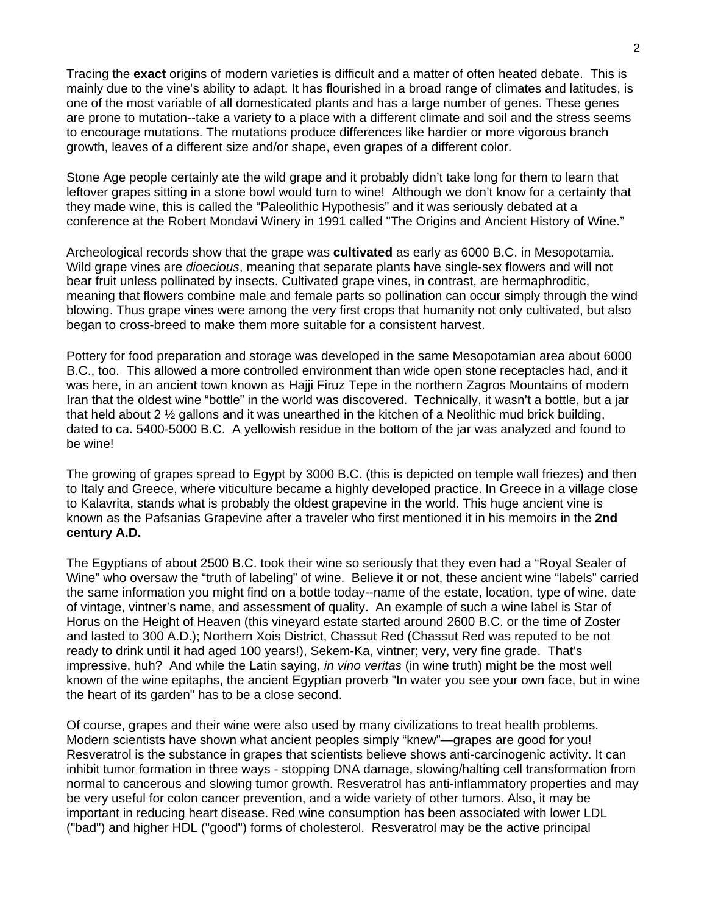Tracing the **exact** origins of modern varieties is difficult and a matter of often heated debate. This is mainly due to the vine's ability to adapt. It has flourished in a broad range of climates and latitudes, is one of the most variable of all domesticated plants and has a large number of genes. These genes are prone to mutation--take a variety to a place with a different climate and soil and the stress seems to encourage mutations. The mutations produce differences like hardier or more vigorous branch growth, leaves of a different size and/or shape, even grapes of a different color.

Stone Age people certainly ate the wild grape and it probably didn't take long for them to learn that leftover grapes sitting in a stone bowl would turn to wine! Although we don't know for a certainty that they made wine, this is called the "Paleolithic Hypothesis" and it was seriously debated at a conference at the Robert Mondavi Winery in 1991 called "The Origins and Ancient History of Wine."

Archeological records show that the grape was **cultivated** as early as 6000 B.C. in Mesopotamia. Wild grape vines are *dioecious*, meaning that separate plants have single-sex flowers and will not bear fruit unless pollinated by insects. Cultivated grape vines, in contrast, are hermaphroditic, meaning that flowers combine male and female parts so pollination can occur simply through the wind blowing. Thus grape vines were among the very first crops that humanity not only cultivated, but also began to cross-breed to make them more suitable for a consistent harvest.

Pottery for food preparation and storage was developed in the same Mesopotamian area about 6000 B.C., too. This allowed a more controlled environment than wide open stone receptacles had, and it was here, in an ancient town known as Hajji Firuz Tepe in the northern Zagros Mountains of modern Iran that the oldest wine "bottle" in the world was discovered. Technically, it wasn't a bottle, but a jar that held about 2 ½ gallons and it was unearthed in the kitchen of a Neolithic mud brick building, dated to ca. 5400-5000 B.C. A yellowish residue in the bottom of the jar was analyzed and found to be wine!

The growing of grapes spread to Egypt by 3000 B.C. (this is depicted on temple wall friezes) and then to Italy and Greece, where viticulture became a highly developed practice. In Greece in a village close to Kalavrita, stands what is probably the oldest grapevine in the world. This huge ancient vine is known as the Pafsanias Grapevine after a traveler who first mentioned it in his memoirs in the **2nd century A.D.** 

The Egyptians of about 2500 B.C. took their wine so seriously that they even had a "Royal Sealer of Wine" who oversaw the "truth of labeling" of wine. Believe it or not, these ancient wine "labels" carried the same information you might find on a bottle today--name of the estate, location, type of wine, date of vintage, vintner's name, and assessment of quality. An example of such a wine label is Star of Horus on the Height of Heaven (this vineyard estate started around 2600 B.C. or the time of Zoster and lasted to 300 A.D.); Northern Xois District, Chassut Red (Chassut Red was reputed to be not ready to drink until it had aged 100 years!), Sekem-Ka, vintner; very, very fine grade. That's impressive, huh? And while the Latin saying, *in vino veritas* (in wine truth) might be the most well known of the wine epitaphs, the ancient Egyptian proverb "In water you see your own face, but in wine the heart of its garden" has to be a close second.

Of course, grapes and their wine were also used by many civilizations to treat health problems. Modern scientists have shown what ancient peoples simply "knew"—grapes are good for you! Resveratrol is the substance in grapes that scientists believe shows anti-carcinogenic activity. It can inhibit tumor formation in three ways - stopping DNA damage, slowing/halting cell transformation from normal to cancerous and slowing tumor growth. Resveratrol has anti-inflammatory properties and may be very useful for colon cancer prevention, and a wide variety of other tumors. Also, it may be important in reducing heart disease. Red wine consumption has been associated with lower LDL ("bad") and higher HDL ("good") forms of cholesterol. Resveratrol may be the active principal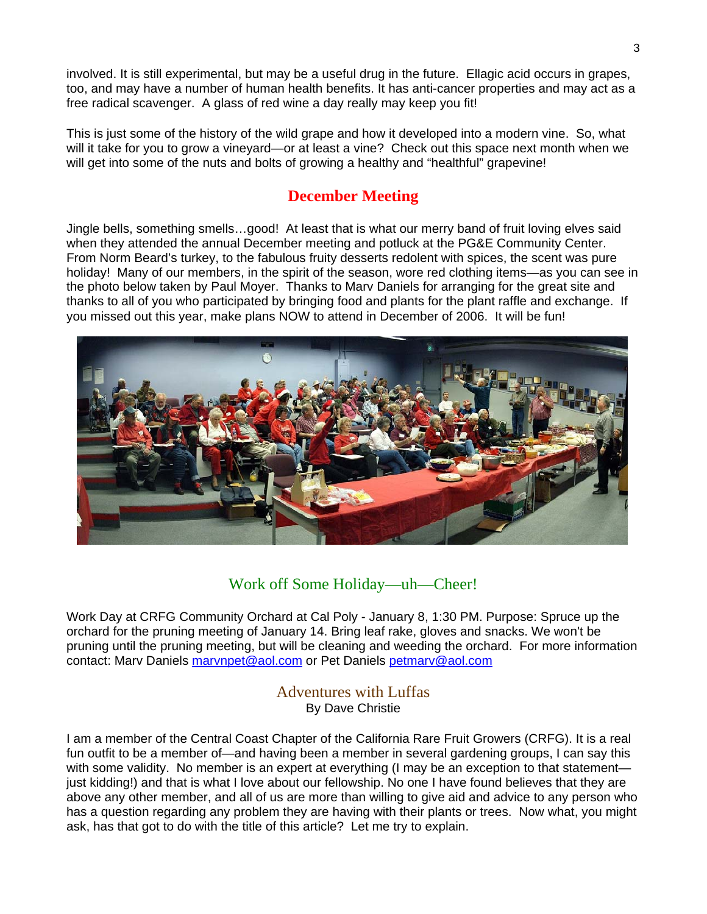involved. It is still experimental, but may be a useful drug in the future. Ellagic acid occurs in grapes, too, and may have a number of human health benefits. It has anti-cancer properties and may act as a free radical scavenger. A glass of red wine a day really may keep you fit!

This is just some of the history of the wild grape and how it developed into a modern vine. So, what will it take for you to grow a vineyard—or at least a vine? Check out this space next month when we will get into some of the nuts and bolts of growing a healthy and "healthful" grapevine!

# **December Meeting**

Jingle bells, something smells…good! At least that is what our merry band of fruit loving elves said when they attended the annual December meeting and potluck at the PG&E Community Center. From Norm Beard's turkey, to the fabulous fruity desserts redolent with spices, the scent was pure holiday! Many of our members, in the spirit of the season, wore red clothing items—as you can see in the photo below taken by Paul Moyer. Thanks to Marv Daniels for arranging for the great site and thanks to all of you who participated by bringing food and plants for the plant raffle and exchange. If you missed out this year, make plans NOW to attend in December of 2006. It will be fun!



## Work off Some Holiday—uh—Cheer!

Work Day at CRFG Community Orchard at Cal Poly - January 8, 1:30 PM. Purpose: Spruce up the orchard for the pruning meeting of January 14. Bring leaf rake, gloves and snacks. We won't be pruning until the pruning meeting, but will be cleaning and weeding the orchard. For more information contact: Marv Daniels [marvnpet@aol.com](mailto:marvnpet@aol.com) or Pet Daniels [petmarv@aol.com](mailto:petmarv@aol.com) 

#### Adventures with Luffas By Dave Christie

I am a member of the Central Coast Chapter of the California Rare Fruit Growers (CRFG). It is a real fun outfit to be a member of—and having been a member in several gardening groups, I can say this with some validity. No member is an expert at everything (I may be an exception to that statement just kidding!) and that is what I love about our fellowship. No one I have found believes that they are above any other member, and all of us are more than willing to give aid and advice to any person who has a question regarding any problem they are having with their plants or trees. Now what, you might ask, has that got to do with the title of this article? Let me try to explain.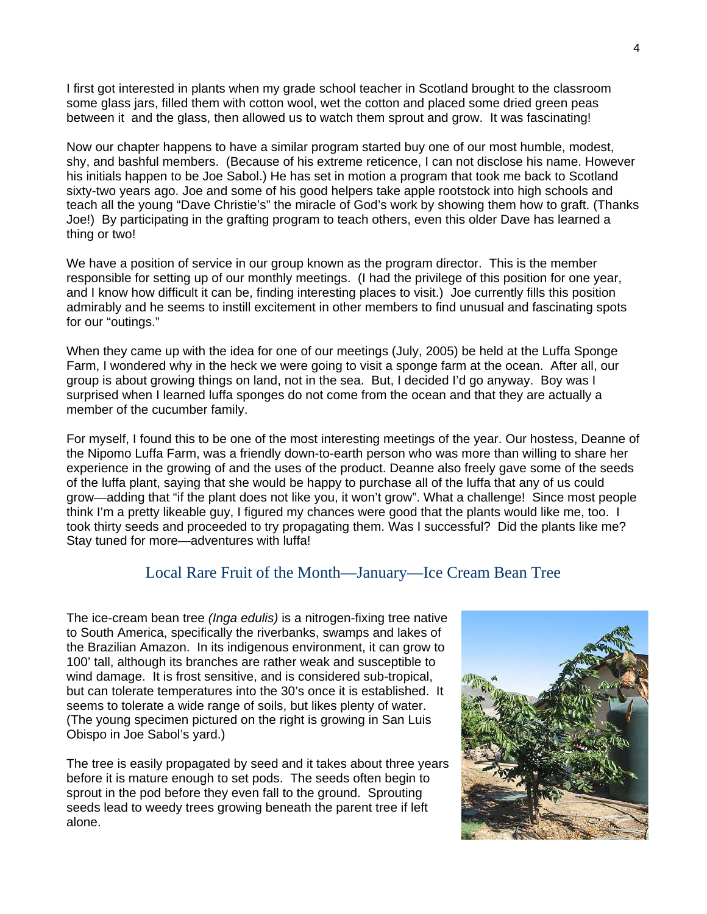I first got interested in plants when my grade school teacher in Scotland brought to the classroom some glass jars, filled them with cotton wool, wet the cotton and placed some dried green peas between it and the glass, then allowed us to watch them sprout and grow. It was fascinating!

Now our chapter happens to have a similar program started buy one of our most humble, modest, shy, and bashful members. (Because of his extreme reticence, I can not disclose his name. However his initials happen to be Joe Sabol.) He has set in motion a program that took me back to Scotland sixty-two years ago. Joe and some of his good helpers take apple rootstock into high schools and teach all the young "Dave Christie's" the miracle of God's work by showing them how to graft. (Thanks Joe!) By participating in the grafting program to teach others, even this older Dave has learned a thing or two!

We have a position of service in our group known as the program director. This is the member responsible for setting up of our monthly meetings. (I had the privilege of this position for one year, and I know how difficult it can be, finding interesting places to visit.) Joe currently fills this position admirably and he seems to instill excitement in other members to find unusual and fascinating spots for our "outings."

When they came up with the idea for one of our meetings (July, 2005) be held at the Luffa Sponge Farm, I wondered why in the heck we were going to visit a sponge farm at the ocean. After all, our group is about growing things on land, not in the sea. But, I decided I'd go anyway. Boy was I surprised when I learned luffa sponges do not come from the ocean and that they are actually a member of the cucumber family.

For myself, I found this to be one of the most interesting meetings of the year. Our hostess, Deanne of the Nipomo Luffa Farm, was a friendly down-to-earth person who was more than willing to share her experience in the growing of and the uses of the product. Deanne also freely gave some of the seeds of the luffa plant, saying that she would be happy to purchase all of the luffa that any of us could grow—adding that "if the plant does not like you, it won't grow". What a challenge! Since most people think I'm a pretty likeable guy, I figured my chances were good that the plants would like me, too. I took thirty seeds and proceeded to try propagating them. Was I successful? Did the plants like me? Stay tuned for more—adventures with luffa!

#### Local Rare Fruit of the Month—January—Ice Cream Bean Tree

The ice-cream bean tree *(Inga edulis)* is a nitrogen-fixing tree native to South America, specifically the riverbanks, swamps and lakes of the Brazilian Amazon. In its indigenous environment, it can grow to 100' tall, although its branches are rather weak and susceptible to wind damage. It is frost sensitive, and is considered sub-tropical, but can tolerate temperatures into the 30's once it is established. It seems to tolerate a wide range of soils, but likes plenty of water. (The young specimen pictured on the right is growing in San Luis Obispo in Joe Sabol's yard.)

The tree is easily propagated by seed and it takes about three years before it is mature enough to set pods. The seeds often begin to sprout in the pod before they even fall to the ground. Sprouting seeds lead to weedy trees growing beneath the parent tree if left alone.

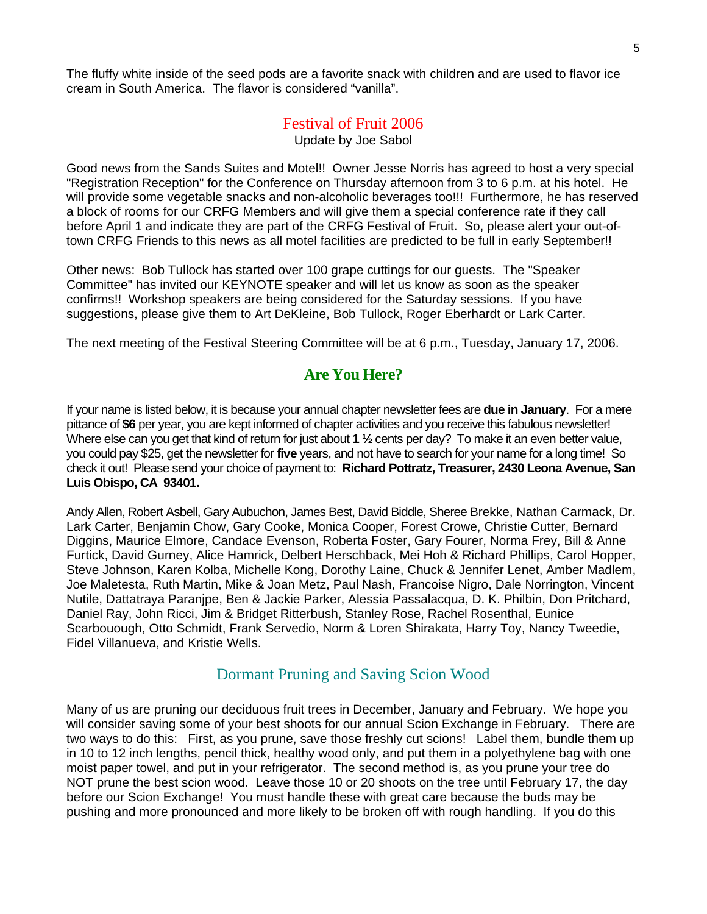The fluffy white inside of the seed pods are a favorite snack with children and are used to flavor ice cream in South America. The flavor is considered "vanilla".

#### Festival of Fruit 2006

Update by Joe Sabol

Good news from the Sands Suites and Motel!! Owner Jesse Norris has agreed to host a very special "Registration Reception" for the Conference on Thursday afternoon from 3 to 6 p.m. at his hotel. He will provide some vegetable snacks and non-alcoholic beverages too!!! Furthermore, he has reserved a block of rooms for our CRFG Members and will give them a special conference rate if they call before April 1 and indicate they are part of the CRFG Festival of Fruit. So, please alert your out-oftown CRFG Friends to this news as all motel facilities are predicted to be full in early September!!

Other news: Bob Tullock has started over 100 grape cuttings for our guests. The "Speaker Committee" has invited our KEYNOTE speaker and will let us know as soon as the speaker confirms!! Workshop speakers are being considered for the Saturday sessions. If you have suggestions, please give them to Art DeKleine, Bob Tullock, Roger Eberhardt or Lark Carter.

The next meeting of the Festival Steering Committee will be at 6 p.m., Tuesday, January 17, 2006.

## **Are You Here?**

If your name is listed below, it is because your annual chapter newsletter fees are **due in January**. For a mere pittance of **\$6** per year, you are kept informed of chapter activities and you receive this fabulous newsletter! Where else can you get that kind of return for just about **1** <sup>1</sup>/<sub>2</sub> cents per day? To make it an even better value, you could pay \$25, get the newsletter for **five** years, and not have to search for your name for a long time! So check it out! Please send your choice of payment to: **Richard Pottratz, Treasurer, 2430 Leona Avenue, San Luis Obispo, CA 93401.**

Andy Allen, Robert Asbell, Gary Aubuchon, James Best, David Biddle, Sheree Brekke, Nathan Carmack, Dr. Lark Carter, Benjamin Chow, Gary Cooke, Monica Cooper, Forest Crowe, Christie Cutter, Bernard Diggins, Maurice Elmore, Candace Evenson, Roberta Foster, Gary Fourer, Norma Frey, Bill & Anne Furtick, David Gurney, Alice Hamrick, Delbert Herschback, Mei Hoh & Richard Phillips, Carol Hopper, Steve Johnson, Karen Kolba, Michelle Kong, Dorothy Laine, Chuck & Jennifer Lenet, Amber Madlem, Joe Maletesta, Ruth Martin, Mike & Joan Metz, Paul Nash, Francoise Nigro, Dale Norrington, Vincent Nutile, Dattatraya Paranjpe, Ben & Jackie Parker, Alessia Passalacqua, D. K. Philbin, Don Pritchard, Daniel Ray, John Ricci, Jim & Bridget Ritterbush, Stanley Rose, Rachel Rosenthal, Eunice Scarbouough, Otto Schmidt, Frank Servedio, Norm & Loren Shirakata, Harry Toy, Nancy Tweedie, Fidel Villanueva, and Kristie Wells.

#### Dormant Pruning and Saving Scion Wood

Many of us are pruning our deciduous fruit trees in December, January and February. We hope you will consider saving some of your best shoots for our annual Scion Exchange in February. There are two ways to do this: First, as you prune, save those freshly cut scions! Label them, bundle them up in 10 to 12 inch lengths, pencil thick, healthy wood only, and put them in a polyethylene bag with one moist paper towel, and put in your refrigerator. The second method is, as you prune your tree do NOT prune the best scion wood. Leave those 10 or 20 shoots on the tree until February 17, the day before our Scion Exchange! You must handle these with great care because the buds may be pushing and more pronounced and more likely to be broken off with rough handling. If you do this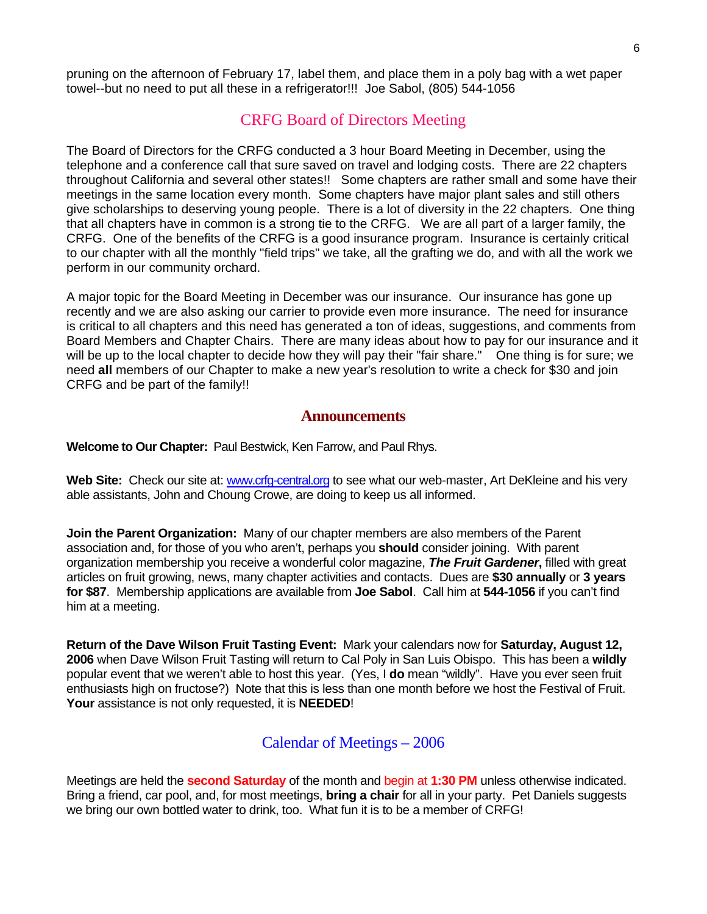pruning on the afternoon of February 17, label them, and place them in a poly bag with a wet paper towel--but no need to put all these in a refrigerator!!! Joe Sabol, (805) 544-1056

## CRFG Board of Directors Meeting

The Board of Directors for the CRFG conducted a 3 hour Board Meeting in December, using the telephone and a conference call that sure saved on travel and lodging costs. There are 22 chapters throughout California and several other states!! Some chapters are rather small and some have their meetings in the same location every month. Some chapters have major plant sales and still others give scholarships to deserving young people. There is a lot of diversity in the 22 chapters. One thing that all chapters have in common is a strong tie to the CRFG. We are all part of a larger family, the CRFG. One of the benefits of the CRFG is a good insurance program. Insurance is certainly critical to our chapter with all the monthly "field trips" we take, all the grafting we do, and with all the work we perform in our community orchard.

A major topic for the Board Meeting in December was our insurance. Our insurance has gone up recently and we are also asking our carrier to provide even more insurance. The need for insurance is critical to all chapters and this need has generated a ton of ideas, suggestions, and comments from Board Members and Chapter Chairs. There are many ideas about how to pay for our insurance and it will be up to the local chapter to decide how they will pay their "fair share." One thing is for sure; we need **all** members of our Chapter to make a new year's resolution to write a check for \$30 and join CRFG and be part of the family!!

#### **Announcements**

**Welcome to Our Chapter:** Paul Bestwick, Ken Farrow, and Paul Rhys.

Web Site: Check our site at: www.crfq-central.org to see what our web-master, Art DeKleine and his very able assistants, John and Choung Crowe, are doing to keep us all informed.

**Join the Parent Organization:** Many of our chapter members are also members of the Parent association and, for those of you who aren't, perhaps you **should** consider joining. With parent organization membership you receive a wonderful color magazine, *The Fruit Gardener***,** filled with great articles on fruit growing, news, many chapter activities and contacts. Dues are **\$30 annually** or **3 years for \$87**. Membership applications are available from **Joe Sabol**. Call him at **544-1056** if you can't find him at a meeting.

**Return of the Dave Wilson Fruit Tasting Event:** Mark your calendars now for **Saturday, August 12, 2006** when Dave Wilson Fruit Tasting will return to Cal Poly in San Luis Obispo. This has been a **wildly** popular event that we weren't able to host this year. (Yes, I **do** mean "wildly". Have you ever seen fruit enthusiasts high on fructose?) Note that this is less than one month before we host the Festival of Fruit. **Your** assistance is not only requested, it is **NEEDED**!

#### Calendar of Meetings – 2006

Meetings are held the **second Saturday** of the month and begin at **1:30 PM** unless otherwise indicated. Bring a friend, car pool, and, for most meetings, **bring a chair** for all in your party. Pet Daniels suggests we bring our own bottled water to drink, too. What fun it is to be a member of CRFG!